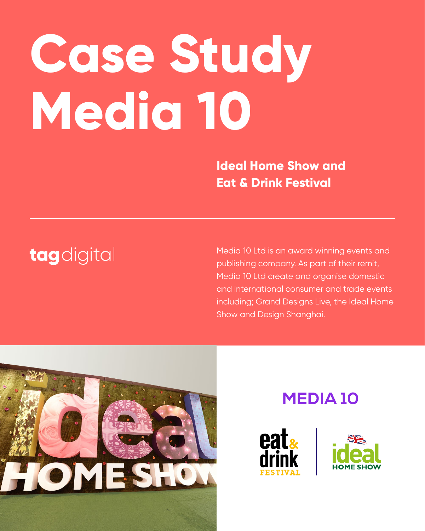# **Case Study Media 10**

Media 10 Ltd is an award winning events and publishing company. As part of their remit, Media 10 Ltd create and organise domestic and international consumer and trade events including; Grand Designs Live, the Ideal Home Show and Design Shanghai.



#### **MEDIA 10**





**Ideal Home Show and Eat & Drink Festival**

## tagdigital